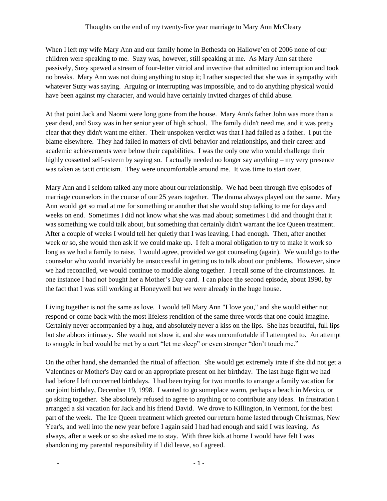When I left my wife Mary Ann and our family home in Bethesda on Hallowe'en of 2006 none of our children were speaking to me. Suzy was, however, still speaking at me. As Mary Ann sat there passively, Suzy spewed a stream of four-letter vitriol and invective that admitted no interruption and took no breaks. Mary Ann was not doing anything to stop it; I rather suspected that she was in sympathy with whatever Suzy was saying. Arguing or interrupting was impossible, and to do anything physical would have been against my character, and would have certainly invited charges of child abuse.

At that point Jack and Naomi were long gone from the house. Mary Ann's father John was more than a year dead, and Suzy was in her senior year of high school. The family didn't need me, and it was pretty clear that they didn't want me either. Their unspoken verdict was that I had failed as a father. I put the blame elsewhere. They had failed in matters of civil behavior and relationships, and their career and academic achievements were below their capabilities. I was the only one who would challenge their highly cossetted self-esteem by saying so. I actually needed no longer say anything – my very presence was taken as tacit criticism. They were uncomfortable around me. It was time to start over.

Mary Ann and I seldom talked any more about our relationship. We had been through five episodes of marriage counselors in the course of our 25 years together. The drama always played out the same. Mary Ann would get so mad at me for something or another that she would stop talking to me for days and weeks on end. Sometimes I did not know what she was mad about; sometimes I did and thought that it was something we could talk about, but something that certainly didn't warrant the Ice Queen treatment. After a couple of weeks I would tell her quietly that I was leaving, I had enough. Then, after another week or so, she would then ask if we could make up. I felt a moral obligation to try to make it work so long as we had a family to raise. I would agree, provided we got counseling (again). We would go to the counselor who would invariably be unsuccessful in getting us to talk about our problems. However, since we had reconciled, we would continue to muddle along together. I recall some of the circumstances. In one instance I had not bought her a Mother's Day card. I can place the second episode, about 1990, by the fact that I was still working at Honeywell but we were already in the huge house.

Living together is not the same as love. I would tell Mary Ann "I love you," and she would either not respond or come back with the most lifeless rendition of the same three words that one could imagine. Certainly never accompanied by a hug, and absolutely never a kiss on the lips. She has beautiful, full lips but she abhors intimacy. She would not show it, and she was uncomfortable if I attempted to. An attempt to snuggle in bed would be met by a curt "let me sleep" or even stronger "don't touch me."

On the other hand, she demanded the ritual of affection. She would get extremely irate if she did not get a Valentines or Mother's Day card or an appropriate present on her birthday. The last huge fight we had had before I left concerned birthdays. I had been trying for two months to arrange a family vacation for our joint birthday, December 19, 1998. I wanted to go someplace warm, perhaps a beach in Mexico, or go skiing together. She absolutely refused to agree to anything or to contribute any ideas. In frustration I arranged a ski vacation for Jack and his friend David. We drove to Killington, in Vermont, for the best part of the week. The Ice Queen treatment which greeted our return home lasted through Christmas, New Year's, and well into the new year before I again said I had had enough and said I was leaving. As always, after a week or so she asked me to stay. With three kids at home I would have felt I was abandoning my parental responsibility if I did leave, so I agreed.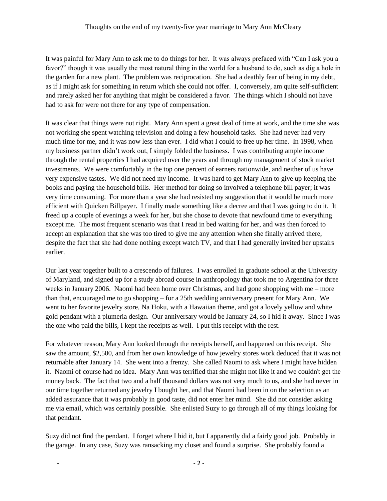It was painful for Mary Ann to ask me to do things for her. It was always prefaced with "Can I ask you a favor?" though it was usually the most natural thing in the world for a husband to do, such as dig a hole in the garden for a new plant. The problem was reciprocation. She had a deathly fear of being in my debt, as if I might ask for something in return which she could not offer. I, conversely, am quite self-sufficient and rarely asked her for anything that might be considered a favor. The things which I should not have had to ask for were not there for any type of compensation.

It was clear that things were not right. Mary Ann spent a great deal of time at work, and the time she was not working she spent watching television and doing a few household tasks. She had never had very much time for me, and it was now less than ever. I did what I could to free up her time. In 1998, when my business partner didn't work out, I simply folded the business. I was contributing ample income through the rental properties I had acquired over the years and through my management of stock market investments. We were comfortably in the top one percent of earners nationwide, and neither of us have very expensive tastes. We did not need my income. It was hard to get Mary Ann to give up keeping the books and paying the household bills. Her method for doing so involved a telephone bill payer; it was very time consuming. For more than a year she had resisted my suggestion that it would be much more efficient with Quicken Billpayer. I finally made something like a decree and that I was going to do it. It freed up a couple of evenings a week for her, but she chose to devote that newfound time to everything except me. The most frequent scenario was that I read in bed waiting for her, and was then forced to accept an explanation that she was too tired to give me any attention when she finally arrived there, despite the fact that she had done nothing except watch TV, and that I had generally invited her upstairs earlier.

Our last year together built to a crescendo of failures. I was enrolled in graduate school at the University of Maryland, and signed up for a study abroad course in anthropology that took me to Argentina for three weeks in January 2006. Naomi had been home over Christmas, and had gone shopping with me – more than that, encouraged me to go shopping – for a 25th wedding anniversary present for Mary Ann. We went to her favorite jewelry store, Na Hoku, with a Hawaiian theme, and got a lovely yellow and white gold pendant with a plumeria design. Our anniversary would be January 24, so I hid it away. Since I was the one who paid the bills, I kept the receipts as well. I put this receipt with the rest.

For whatever reason, Mary Ann looked through the receipts herself, and happened on this receipt. She saw the amount, \$2,500, and from her own knowledge of how jewelry stores work deduced that it was not returnable after January 14. She went into a frenzy. She called Naomi to ask where I might have hidden it. Naomi of course had no idea. Mary Ann was terrified that she might not like it and we couldn't get the money back. The fact that two and a half thousand dollars was not very much to us, and she had never in our time together returned any jewelry I bought her, and that Naomi had been in on the selection as an added assurance that it was probably in good taste, did not enter her mind. She did not consider asking me via email, which was certainly possible. She enlisted Suzy to go through all of my things looking for that pendant.

Suzy did not find the pendant. I forget where I hid it, but I apparently did a fairly good job. Probably in the garage. In any case, Suzy was ransacking my closet and found a surprise. She probably found a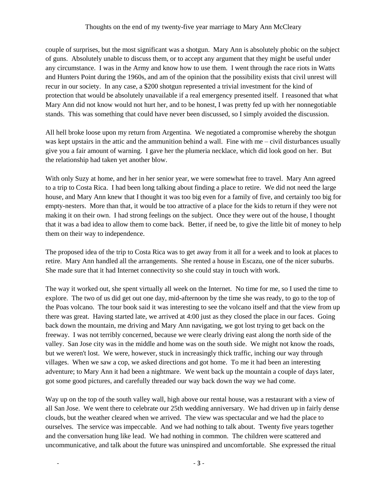### Thoughts on the end of my twenty-five year marriage to Mary Ann McCleary

couple of surprises, but the most significant was a shotgun. Mary Ann is absolutely phobic on the subject of guns. Absolutely unable to discuss them, or to accept any argument that they might be useful under any circumstance. I was in the Army and know how to use them. I went through the race riots in Watts and Hunters Point during the 1960s, and am of the opinion that the possibility exists that civil unrest will recur in our society. In any case, a \$200 shotgun represented a trivial investment for the kind of protection that would be absolutely unavailable if a real emergency presented itself. I reasoned that what Mary Ann did not know would not hurt her, and to be honest, I was pretty fed up with her nonnegotiable stands. This was something that could have never been discussed, so I simply avoided the discussion.

All hell broke loose upon my return from Argentina. We negotiated a compromise whereby the shotgun was kept upstairs in the attic and the ammunition behind a wall. Fine with me – civil disturbances usually give you a fair amount of warning. I gave her the plumeria necklace, which did look good on her. But the relationship had taken yet another blow.

With only Suzy at home, and her in her senior year, we were somewhat free to travel. Mary Ann agreed to a trip to Costa Rica. I had been long talking about finding a place to retire. We did not need the large house, and Mary Ann knew that I thought it was too big even for a family of five, and certainly too big for empty-nesters. More than that, it would be too attractive of a place for the kids to return if they were not making it on their own. I had strong feelings on the subject. Once they were out of the house, I thought that it was a bad idea to allow them to come back. Better, if need be, to give the little bit of money to help them on their way to independence.

The proposed idea of the trip to Costa Rica was to get away from it all for a week and to look at places to retire. Mary Ann handled all the arrangements. She rented a house in Escazu, one of the nicer suburbs. She made sure that it had Internet connectivity so she could stay in touch with work.

The way it worked out, she spent virtually all week on the Internet. No time for me, so I used the time to explore. The two of us did get out one day, mid-afternoon by the time she was ready, to go to the top of the Poas volcano. The tour book said it was interesting to see the volcano itself and that the view from up there was great. Having started late, we arrived at 4:00 just as they closed the place in our faces. Going back down the mountain, me driving and Mary Ann navigating, we got lost trying to get back on the freeway. I was not terribly concerned, because we were clearly driving east along the north side of the valley. San Jose city was in the middle and home was on the south side. We might not know the roads, but we weren't lost. We were, however, stuck in increasingly thick traffic, inching our way through villages. When we saw a cop, we asked directions and got home. To me it had been an interesting adventure; to Mary Ann it had been a nightmare. We went back up the mountain a couple of days later, got some good pictures, and carefully threaded our way back down the way we had come.

Way up on the top of the south valley wall, high above our rental house, was a restaurant with a view of all San Jose. We went there to celebrate our 25th wedding anniversary. We had driven up in fairly dense clouds, but the weather cleared when we arrived. The view was spectacular and we had the place to ourselves. The service was impeccable. And we had nothing to talk about. Twenty five years together and the conversation hung like lead. We had nothing in common. The children were scattered and uncommunicative, and talk about the future was uninspired and uncomfortable. She expressed the ritual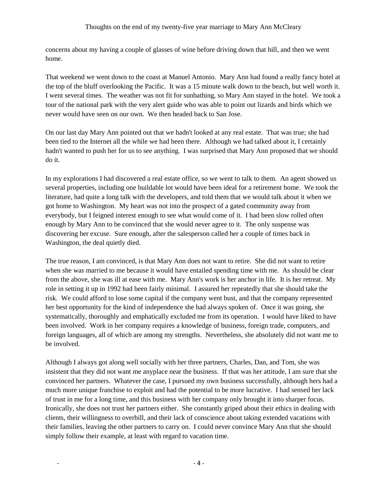concerns about my having a couple of glasses of wine before driving down that hill, and then we went home.

That weekend we went down to the coast at Manuel Antonio. Mary Ann had found a really fancy hotel at the top of the bluff overlooking the Pacific. It was a 15 minute walk down to the beach, but well worth it. I went several times. The weather was not fit for sunbathing, so Mary Ann stayed in the hotel. We took a tour of the national park with the very alert guide who was able to point out lizards and birds which we never would have seen on our own. We then headed back to San Jose.

On our last day Mary Ann pointed out that we hadn't looked at any real estate. That was true; she had been tied to the Internet all the while we had been there. Although we had talked about it, I certainly hadn't wanted to push her for us to see anything. I was surprised that Mary Ann proposed that we should do it.

In my explorations I had discovered a real estate office, so we went to talk to them. An agent showed us several properties, including one buildable lot would have been ideal for a retirement home. We took the literature, had quite a long talk with the developers, and told them that we would talk about it when we got home to Washington. My heart was not into the prospect of a gated community away from everybody, but I feigned interest enough to see what would come of it. I had been slow rolled often enough by Mary Ann to be convinced that she would never agree to it. The only suspense was discovering her excuse. Sure enough, after the salesperson called her a couple of times back in Washington, the deal quietly died.

The true reason, I am convinced, is that Mary Ann does not want to retire. She did not want to retire when she was married to me because it would have entailed spending time with me. As should be clear from the above, she was ill at ease with me. Mary Ann's work is her anchor in life. It is her retreat. My role in setting it up in 1992 had been fairly minimal. I assured her repeatedly that she should take the risk. We could afford to lose some capital if the company went bust, and that the company represented her best opportunity for the kind of independence she had always spoken of. Once it was going, she systematically, thoroughly and emphatically excluded me from its operation. I would have liked to have been involved. Work in her company requires a knowledge of business, foreign trade, computers, and foreign languages, all of which are among my strengths. Nevertheless, she absolutely did not want me to be involved.

Although I always got along well socially with her three partners, Charles, Dan, and Tom, she was insistent that they did not want me anyplace near the business. If that was her attitude, I am sure that she convinced her partners. Whatever the case, I pursued my own business successfully, although hers had a much more unique franchise to exploit and had the potential to be more lucrative. I had sensed her lack of trust in me for a long time, and this business with her company only brought it into sharper focus. Ironically, she does not trust her partners either. She constantly griped about their ethics in dealing with clients, their willingness to overbill, and their lack of conscience about taking extended vacations with their families, leaving the other partners to carry on. I could never convince Mary Ann that she should simply follow their example, at least with regard to vacation time.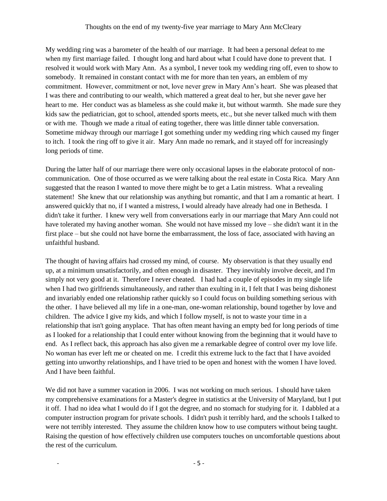### Thoughts on the end of my twenty-five year marriage to Mary Ann McCleary

My wedding ring was a barometer of the health of our marriage. It had been a personal defeat to me when my first marriage failed. I thought long and hard about what I could have done to prevent that. I resolved it would work with Mary Ann. As a symbol, I never took my wedding ring off, even to show to somebody. It remained in constant contact with me for more than ten years, an emblem of my commitment. However, commitment or not, love never grew in Mary Ann's heart. She was pleased that I was there and contributing to our wealth, which mattered a great deal to her, but she never gave her heart to me. Her conduct was as blameless as she could make it, but without warmth. She made sure they kids saw the pediatrician, got to school, attended sports meets, etc., but she never talked much with them or with me. Though we made a ritual of eating together, there was little dinner table conversation. Sometime midway through our marriage I got something under my wedding ring which caused my finger to itch. I took the ring off to give it air. Mary Ann made no remark, and it stayed off for increasingly long periods of time.

During the latter half of our marriage there were only occasional lapses in the elaborate protocol of noncommunication. One of those occurred as we were talking about the real estate in Costa Rica. Mary Ann suggested that the reason I wanted to move there might be to get a Latin mistress. What a revealing statement! She knew that our relationship was anything but romantic, and that I am a romantic at heart. I answered quickly that no, if I wanted a mistress, I would already have already had one in Bethesda. I didn't take it further. I knew very well from conversations early in our marriage that Mary Ann could not have tolerated my having another woman. She would not have missed my love – she didn't want it in the first place – but she could not have borne the embarrassment, the loss of face, associated with having an unfaithful husband.

The thought of having affairs had crossed my mind, of course. My observation is that they usually end up, at a minimum unsatisfactorily, and often enough in disaster. They inevitably involve deceit, and I'm simply not very good at it. Therefore I never cheated. I had had a couple of episodes in my single life when I had two girlfriends simultaneously, and rather than exulting in it, I felt that I was being dishonest and invariably ended one relationship rather quickly so I could focus on building something serious with the other. I have believed all my life in a one-man, one-woman relationship, bound together by love and children. The advice I give my kids, and which I follow myself, is not to waste your time in a relationship that isn't going anyplace. That has often meant having an empty bed for long periods of time as I looked for a relationship that I could enter without knowing from the beginning that it would have to end. As I reflect back, this approach has also given me a remarkable degree of control over my love life. No woman has ever left me or cheated on me. I credit this extreme luck to the fact that I have avoided getting into unworthy relationships, and I have tried to be open and honest with the women I have loved. And I have been faithful.

We did not have a summer vacation in 2006. I was not working on much serious. I should have taken my comprehensive examinations for a Master's degree in statistics at the University of Maryland, but I put it off. I had no idea what I would do if I got the degree, and no stomach for studying for it. I dabbled at a computer instruction program for private schools. I didn't push it terribly hard, and the schools I talked to were not terribly interested. They assume the children know how to use computers without being taught. Raising the question of how effectively children use computers touches on uncomfortable questions about the rest of the curriculum.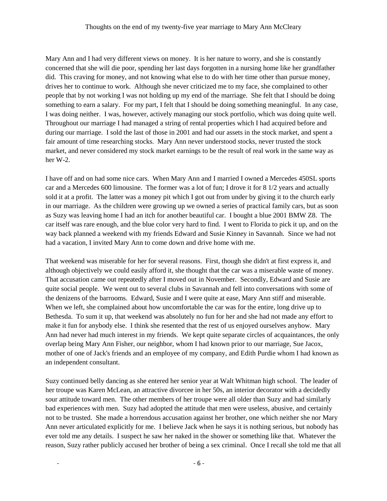Mary Ann and I had very different views on money. It is her nature to worry, and she is constantly concerned that she will die poor, spending her last days forgotten in a nursing home like her grandfather did. This craving for money, and not knowing what else to do with her time other than pursue money, drives her to continue to work. Although she never criticized me to my face, she complained to other people that by not working I was not holding up my end of the marriage. She felt that I should be doing something to earn a salary. For my part, I felt that I should be doing something meaningful. In any case, I was doing neither. I was, however, actively managing our stock portfolio, which was doing quite well. Throughout our marriage I had managed a string of rental properties which I had acquired before and during our marriage. I sold the last of those in 2001 and had our assets in the stock market, and spent a fair amount of time researching stocks. Mary Ann never understood stocks, never trusted the stock market, and never considered my stock market earnings to be the result of real work in the same way as her W-2.

I have off and on had some nice cars. When Mary Ann and I married I owned a Mercedes 450SL sports car and a Mercedes 600 limousine. The former was a lot of fun; I drove it for 8 1/2 years and actually sold it at a profit. The latter was a money pit which I got out from under by giving it to the church early in our marriage. As the children were growing up we owned a series of practical family cars, but as soon as Suzy was leaving home I had an itch for another beautiful car. I bought a blue 2001 BMW Z8. The car itself was rare enough, and the blue color very hard to find. I went to Florida to pick it up, and on the way back planned a weekend with my friends Edward and Susie Kinney in Savannah. Since we had not had a vacation, I invited Mary Ann to come down and drive home with me.

That weekend was miserable for her for several reasons. First, though she didn't at first express it, and although objectively we could easily afford it, she thought that the car was a miserable waste of money. That accusation came out repeatedly after I moved out in November. Secondly, Edward and Susie are quite social people. We went out to several clubs in Savannah and fell into conversations with some of the denizens of the barrooms. Edward, Susie and I were quite at ease, Mary Ann stiff and miserable. When we left, she complained about how uncomfortable the car was for the entire, long drive up to Bethesda. To sum it up, that weekend was absolutely no fun for her and she had not made any effort to make it fun for anybody else. I think she resented that the rest of us enjoyed ourselves anyhow. Mary Ann had never had much interest in my friends. We kept quite separate circles of acquaintances, the only overlap being Mary Ann Fisher, our neighbor, whom I had known prior to our marriage, Sue Jacox, mother of one of Jack's friends and an employee of my company, and Edith Purdie whom I had known as an independent consultant.

Suzy continued belly dancing as she entered her senior year at Walt Whitman high school. The leader of her troupe was Karen McLean, an attractive divorcee in her 50s, an interior decorator with a decidedly sour attitude toward men. The other members of her troupe were all older than Suzy and had similarly bad experiences with men. Suzy had adopted the attitude that men were useless, abusive, and certainly not to be trusted. She made a horrendous accusation against her brother, one which neither she nor Mary Ann never articulated explicitly for me. I believe Jack when he says it is nothing serious, but nobody has ever told me any details. I suspect he saw her naked in the shower or something like that. Whatever the reason, Suzy rather publicly accused her brother of being a sex criminal. Once I recall she told me that all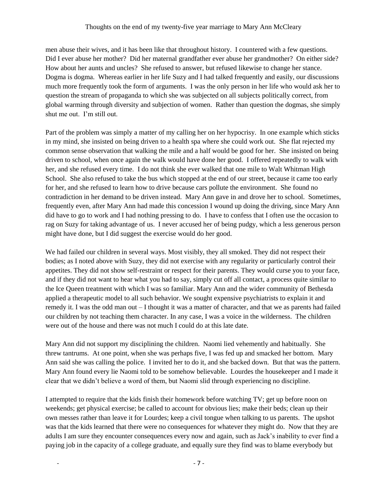men abuse their wives, and it has been like that throughout history. I countered with a few questions. Did I ever abuse her mother? Did her maternal grandfather ever abuse her grandmother? On either side? How about her aunts and uncles? She refused to answer, but refused likewise to change her stance. Dogma is dogma. Whereas earlier in her life Suzy and I had talked frequently and easily, our discussions much more frequently took the form of arguments. I was the only person in her life who would ask her to question the stream of propaganda to which she was subjected on all subjects politically correct, from global warming through diversity and subjection of women. Rather than question the dogmas, she simply shut me out. I'm still out.

Part of the problem was simply a matter of my calling her on her hypocrisy. In one example which sticks in my mind, she insisted on being driven to a health spa where she could work out. She flat rejected my common sense observation that walking the mile and a half would be good for her. She insisted on being driven to school, when once again the walk would have done her good. I offered repeatedly to walk with her, and she refused every time. I do not think she ever walked that one mile to Walt Whitman High School. She also refused to take the bus which stopped at the end of our street, because it came too early for her, and she refused to learn how to drive because cars pollute the environment. She found no contradiction in her demand to be driven instead. Mary Ann gave in and drove her to school. Sometimes, frequently even, after Mary Ann had made this concession I wound up doing the driving, since Mary Ann did have to go to work and I had nothing pressing to do. I have to confess that I often use the occasion to rag on Suzy for taking advantage of us. I never accused her of being pudgy, which a less generous person might have done, but I did suggest the exercise would do her good.

We had failed our children in several ways. Most visibly, they all smoked. They did not respect their bodies; as I noted above with Suzy, they did not exercise with any regularity or particularly control their appetites. They did not show self-restraint or respect for their parents. They would curse you to your face, and if they did not want to hear what you had to say, simply cut off all contact, a process quite similar to the Ice Queen treatment with which I was so familiar. Mary Ann and the wider community of Bethesda applied a therapeutic model to all such behavior. We sought expensive psychiatrists to explain it and remedy it. I was the odd man out – I thought it was a matter of character, and that we as parents had failed our children by not teaching them character. In any case, I was a voice in the wilderness. The children were out of the house and there was not much I could do at this late date.

Mary Ann did not support my disciplining the children. Naomi lied vehemently and habitually. She threw tantrums. At one point, when she was perhaps five, I was fed up and smacked her bottom. Mary Ann said she was calling the police. I invited her to do it, and she backed down. But that was the pattern. Mary Ann found every lie Naomi told to be somehow believable. Lourdes the housekeeper and I made it clear that we didn't believe a word of them, but Naomi slid through experiencing no discipline.

I attempted to require that the kids finish their homework before watching TV; get up before noon on weekends; get physical exercise; be called to account for obvious lies; make their beds; clean up their own messes rather than leave it for Lourdes; keep a civil tongue when talking to us parents. The upshot was that the kids learned that there were no consequences for whatever they might do. Now that they are adults I am sure they encounter consequences every now and again, such as Jack's inability to ever find a paying job in the capacity of a college graduate, and equally sure they find was to blame everybody but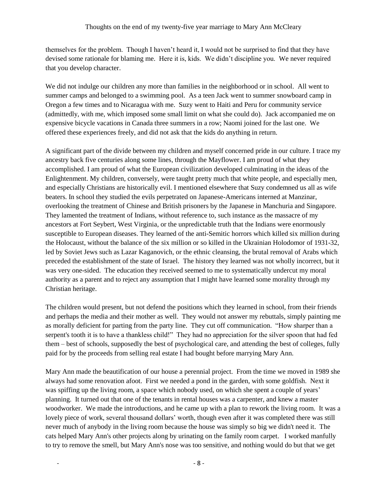themselves for the problem. Though I haven't heard it, I would not be surprised to find that they have devised some rationale for blaming me. Here it is, kids. We didn't discipline you. We never required that you develop character.

We did not indulge our children any more than families in the neighborhood or in school. All went to summer camps and belonged to a swimming pool. As a teen Jack went to summer snowboard camp in Oregon a few times and to Nicaragua with me. Suzy went to Haiti and Peru for community service (admittedly, with me, which imposed some small limit on what she could do). Jack accompanied me on expensive bicycle vacations in Canada three summers in a row; Naomi joined for the last one. We offered these experiences freely, and did not ask that the kids do anything in return.

A significant part of the divide between my children and myself concerned pride in our culture. I trace my ancestry back five centuries along some lines, through the Mayflower. I am proud of what they accomplished. I am proud of what the European civilization developed culminating in the ideas of the Enlightenment. My children, conversely, were taught pretty much that white people, and especially men, and especially Christians are historically evil. I mentioned elsewhere that Suzy condemned us all as wife beaters. In school they studied the evils perpetrated on Japanese-Americans interned at Manzinar, overlooking the treatment of Chinese and British prisoners by the Japanese in Manchuria and Singapore. They lamented the treatment of Indians, without reference to, such instance as the massacre of my ancestors at Fort Seybert, West Virginia, or the unpredictable truth that the Indians were enormously susceptible to European diseases. They learned of the anti-Semitic horrors which killed six million during the Holocaust, without the balance of the six million or so killed in the Ukrainian Holodomor of 1931-32, led by Soviet Jews such as Lazar Kaganovich, or the ethnic cleansing, the brutal removal of Arabs which preceded the establishment of the state of Israel. The history they learned was not wholly incorrect, but it was very one-sided. The education they received seemed to me to systematically undercut my moral authority as a parent and to reject any assumption that I might have learned some morality through my Christian heritage.

The children would present, but not defend the positions which they learned in school, from their friends and perhaps the media and their mother as well. They would not answer my rebuttals, simply painting me as morally deficient for parting from the party line. They cut off communication. "How sharper than a serpent's tooth it is to have a thankless child!" They had no appreciation for the silver spoon that had fed them – best of schools, supposedly the best of psychological care, and attending the best of colleges, fully paid for by the proceeds from selling real estate I had bought before marrying Mary Ann.

Mary Ann made the beautification of our house a perennial project. From the time we moved in 1989 she always had some renovation afoot. First we needed a pond in the garden, with some goldfish. Next it was spiffing up the living room, a space which nobody used, on which she spent a couple of years' planning. It turned out that one of the tenants in rental houses was a carpenter, and knew a master woodworker. We made the introductions, and he came up with a plan to rework the living room. It was a lovely piece of work, several thousand dollars' worth, though even after it was completed there was still never much of anybody in the living room because the house was simply so big we didn't need it. The cats helped Mary Ann's other projects along by urinating on the family room carpet. I worked manfully to try to remove the smell, but Mary Ann's nose was too sensitive, and nothing would do but that we get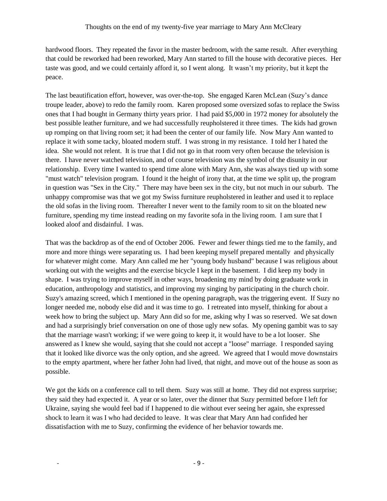hardwood floors. They repeated the favor in the master bedroom, with the same result. After everything that could be reworked had been reworked, Mary Ann started to fill the house with decorative pieces. Her taste was good, and we could certainly afford it, so I went along. It wasn't my priority, but it kept the peace.

The last beautification effort, however, was over-the-top. She engaged Karen McLean (Suzy's dance troupe leader, above) to redo the family room. Karen proposed some oversized sofas to replace the Swiss ones that I had bought in Germany thirty years prior. I had paid \$5,000 in 1972 money for absolutely the best possible leather furniture, and we had successfully reupholstered it three times. The kids had grown up romping on that living room set; it had been the center of our family life. Now Mary Ann wanted to replace it with some tacky, bloated modern stuff. I was strong in my resistance. I told her I hated the idea. She would not relent. It is true that I did not go in that room very often because the television is there. I have never watched television, and of course television was the symbol of the disunity in our relationship. Every time I wanted to spend time alone with Mary Ann, she was always tied up with some "must watch" television program. I found it the height of irony that, at the time we split up, the program in question was "Sex in the City." There may have been sex in the city, but not much in our suburb. The unhappy compromise was that we got my Swiss furniture reupholstered in leather and used it to replace the old sofas in the living room. Thereafter I never went to the family room to sit on the bloated new furniture, spending my time instead reading on my favorite sofa in the living room. I am sure that I looked aloof and disdainful. I was.

That was the backdrop as of the end of October 2006. Fewer and fewer things tied me to the family, and more and more things were separating us. I had been keeping myself prepared mentally and physically for whatever might come. Mary Ann called me her "young body husband" because I was religious about working out with the weights and the exercise bicycle I kept in the basement. I did keep my body in shape. I was trying to improve myself in other ways, broadening my mind by doing graduate work in education, anthropology and statistics, and improving my singing by participating in the church choir. Suzy's amazing screed, which I mentioned in the opening paragraph, was the triggering event. If Suzy no longer needed me, nobody else did and it was time to go. I retreated into myself, thinking for about a week how to bring the subject up. Mary Ann did so for me, asking why I was so reserved. We sat down and had a surprisingly brief conversation on one of those ugly new sofas. My opening gambit was to say that the marriage wasn't working; if we were going to keep it, it would have to be a lot looser. She answered as I knew she would, saying that she could not accept a "loose" marriage. I responded saying that it looked like divorce was the only option, and she agreed. We agreed that I would move downstairs to the empty apartment, where her father John had lived, that night, and move out of the house as soon as possible.

We got the kids on a conference call to tell them. Suzy was still at home. They did not express surprise; they said they had expected it. A year or so later, over the dinner that Suzy permitted before I left for Ukraine, saying she would feel bad if I happened to die without ever seeing her again, she expressed shock to learn it was I who had decided to leave. It was clear that Mary Ann had confided her dissatisfaction with me to Suzy, confirming the evidence of her behavior towards me.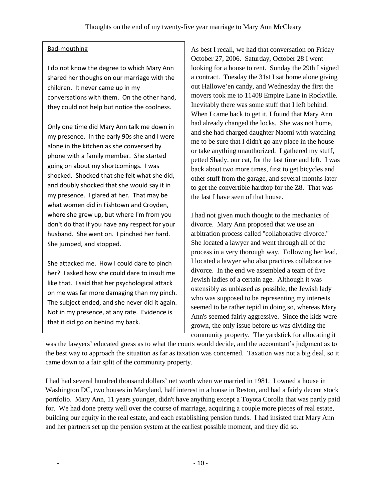# Bad-mouthing

I do not know the degree to which Mary Ann shared her thoughs on our marriage with the children. It never came up in my conversations with them. On the other hand, they could not help but notice the coolness.

Only one time did Mary Ann talk me down in my presence. In the early 90s she and I were alone in the kitchen as she conversed by phone with a family member. She started going on about my shortcomings. I was shocked. Shocked that she felt what she did, and doubly shocked that she would say it in my presence. I glared at her. That may be what women did in Fishtown and Croyden, where she grew up, but where I'm from you don't do that if you have any respect for your husband. She went on. I pinched her hard. She jumped, and stopped.

She attacked me. How I could dare to pinch her? I asked how she could dare to insult me like that. I said that her psychological attack on me was far more damaging than my pinch. The subject ended, and she never did it again. Not in my presence, at any rate. Evidence is that it did go on behind my back.

As best I recall, we had that conversation on Friday October 27, 2006. Saturday, October 28 I went looking for a house to rent. Sunday the 29th I signed a contract. Tuesday the 31st I sat home alone giving out Hallowe'en candy, and Wednesday the first the movers took me to 11408 Empire Lane in Rockville. Inevitably there was some stuff that I left behind. When I came back to get it, I found that Mary Ann had already changed the locks. She was not home, and she had charged daughter Naomi with watching me to be sure that I didn't go any place in the house or take anything unauthorized. I gathered my stuff, petted Shady, our cat, for the last time and left. I was back about two more times, first to get bicycles and other stuff from the garage, and several months later to get the convertible hardtop for the Z8. That was the last I have seen of that house.

I had not given much thought to the mechanics of divorce. Mary Ann proposed that we use an arbitration process called "collaborative divorce." She located a lawyer and went through all of the process in a very thorough way. Following her lead, I located a lawyer who also practices collaborative divorce. In the end we assembled a team of five Jewish ladies of a certain age. Although it was ostensibly as unbiased as possible, the Jewish lady who was supposed to be representing my interests seemed to be rather tepid in doing so, whereas Mary Ann's seemed fairly aggressive. Since the kids were grown, the only issue before us was dividing the community property. The yardstick for allocating it

was the lawyers' educated guess as to what the courts would decide, and the accountant's judgment as to the best way to approach the situation as far as taxation was concerned. Taxation was not a big deal, so it came down to a fair split of the community property.

I had had several hundred thousand dollars' net worth when we married in 1981. I owned a house in Washington DC, two houses in Maryland, half interest in a house in Reston, and had a fairly decent stock portfolio. Mary Ann, 11 years younger, didn't have anything except a Toyota Corolla that was partly paid for. We had done pretty well over the course of marriage, acquiring a couple more pieces of real estate, building our equity in the real estate, and each establishing pension funds. I had insisted that Mary Ann and her partners set up the pension system at the earliest possible moment, and they did so.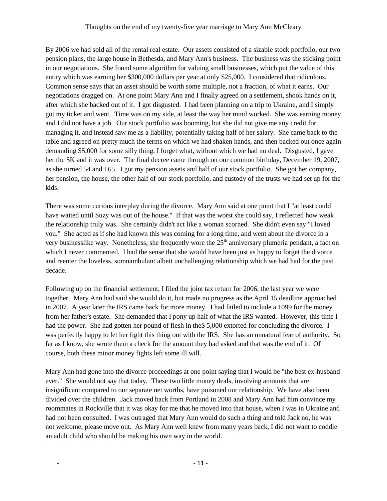### Thoughts on the end of my twenty-five year marriage to Mary Ann McCleary

By 2006 we had sold all of the rental real estate. Our assets consisted of a sizable stock portfolio, our two pension plans, the large house in Bethesda, and Mary Ann's business. The business was the sticking point in our negotiations. She found some algorithm for valuing small businesses, which put the value of this entity which was earning her \$300,000 dollars per year at only \$25,000. I considered that ridiculous. Common sense says that an asset should be worth some multiple, not a fraction, of what it earns. Our negotiations dragged on. At one point Mary Ann and I finally agreed on a settlement, shook hands on it, after which she backed out of it. I got disgusted. I had been planning on a trip to Ukraine, and I simply got my ticket and went. Time was on my side, at least the way her mind worked. She was earning money and I did not have a job. Our stock portfolio was booming, but she did not give me any credit for managing it, and instead saw me as a liability, potentially taking half of her salary. She came back to the table and agreed on pretty much the terms on which we had shaken hands, and then backed out once again demanding \$5,000 for some silly thing, I forget what, without which we had no deal. Disgusted, I gave her the 5K and it was over. The final decree came through on our common birthday, December 19, 2007, as she turned 54 and I 65. I got my pension assets and half of our stock portfolio. She got her company, her pension, the house, the other half of our stock portfolio, and custody of the trusts we had set up for the kids.

There was some curious interplay during the divorce. Mary Ann said at one point that I "at least could have waited until Suzy was out of the house." If that was the worst she could say, I reflected how weak the relationship truly was. She certainly didn't act like a woman scorned. She didn't even say "I loved you." She acted as if she had known this was coming for a long time, and went about the divorce in a very businesslike way. Nonetheless, she frequently wore the  $25<sup>th</sup>$  anniversary plumeria pendant, a fact on which I never commented. I had the sense that she would have been just as happy to forget the divorce and reenter the loveless, somnambulant albeit unchallenging relationship which we had had for the past decade.

Following up on the financial settlement, I filed the joint tax return for 2006, the last year we were together. Mary Ann had said she would do it, but made no progress as the April 15 deadline approached in 2007. A year later the IRS came back for more money. I had failed to include a 1099 for the money from her father's estate. She demanded that I pony up half of what the IRS wanted. However, this time I had the power. She had gotten her pound of flesh in the \$5,000 extorted for concluding the divorce. I was perfectly happy to let her fight this thing out with the IRS. She has an unnatural fear of authority. So far as I know, she wrote them a check for the amount they had asked and that was the end of it. Of course, both these minor money fights left some ill will.

Mary Ann had gone into the divorce proceedings at one point saying that I would be "the best ex-husband ever." She would not say that today. These two little money deals, involving amounts that are insignificant compared to our separate net worths, have poisoned our relationship. We have also been divided over the children. Jack moved back from Portland in 2008 and Mary Ann had him convince my roommates in Rockville that it was okay for me that he moved into that house, when I was in Ukraine and had not been consulted. I was outraged that Mary Ann would do such a thing and told Jack no, he was not welcome, please move out. As Mary Ann well knew from many years back, I did not want to coddle an adult child who should be making his own way in the world.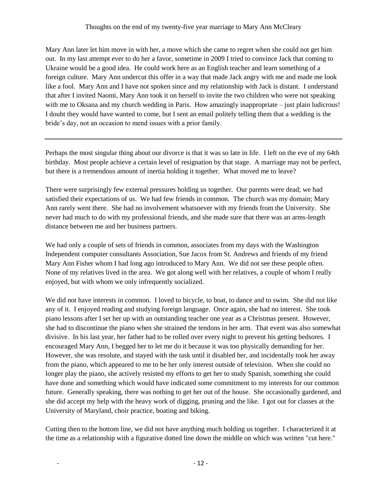Mary Ann later let him move in with her, a move which she came to regret when she could not get him out. In my last attempt ever to do her a favor, sometime in 2009 I tried to convince Jack that coming to Ukraine would be a good idea. He could work here as an English teacher and learn something of a foreign culture. Mary Ann undercut this offer in a way that made Jack angry with me and made me look like a fool. Mary Ann and I have not spoken since and my relationship with Jack is distant. I understand that after I invited Naomi, Mary Ann took it on herself to invite the two children who were not speaking with me to Oksana and my church wedding in Paris. How amazingly inappropriate – just plain ludicrous! I doubt they would have wanted to come, but I sent an email politely telling them that a wedding is the bride's day, not an occasion to mend issues with a prior family.

Perhaps the most singular thing about our divorce is that it was so late in life. I left on the eve of my 64th birthday. Most people achieve a certain level of resignation by that stage. A marriage may not be perfect, but there is a tremendous amount of inertia holding it together. What moved me to leave?

There were surprisingly few external pressures holding us together. Our parents were dead; we had satisfied their expectations of us. We had few friends in common. The church was my domain; Mary Ann rarely went there. She had no involvement whatsoever with my friends from the University. She never had much to do with my professional friends, and she made sure that there was an arms-length distance between me and her business partners.

We had only a couple of sets of friends in common, associates from my days with the Washington Independent computer consultants Association, Sue Jacox from St. Andrews and friends of my friend Mary Ann Fisher whom I had long ago introduced to Mary Ann. We did not see these people often. None of my relatives lived in the area. We got along well with her relatives, a couple of whom I really enjoyed, but with whom we only infrequently socialized.

We did not have interests in common. I loved to bicycle, to boat, to dance and to swim. She did not like any of it. I enjoyed reading and studying foreign language. Once again, she had no interest. She took piano lessons after I set her up with an outstanding teacher one year as a Christmas present. However, she had to discontinue the piano when she strained the tendons in her arm. That event was also somewhat divisive. In his last year, her father had to be rolled over every night to prevent his getting bedsores. I encouraged Mary Ann, I begged her to let me do it because it was too physically demanding for her. However, she was resolute, and stayed with the task until it disabled her, and incidentally took her away from the piano, which appeared to me to be her only interest outside of television. When she could no longer play the piano, she actively resisted my efforts to get her to study Spanish, something she could have done and something which would have indicated some commitment to my interests for our common future. Generally speaking, there was nothing to get her out of the house. She occasionally gardened, and she did accept my help with the heavy work of digging, pruning and the like. I got out for classes at the University of Maryland, choir practice, boating and biking.

Cutting then to the bottom line, we did not have anything much holding us together. I characterized it at the time as a relationship with a figurative dotted line down the middle on which was written "cut here."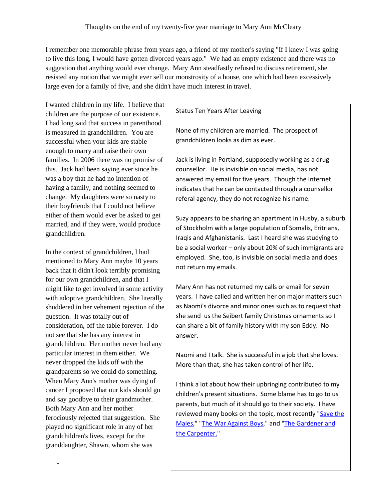I remember one memorable phrase from years ago, a friend of my mother's saying "If I knew I was going to live this long, I would have gotten divorced years ago." We had an empty existence and there was no suggestion that anything would ever change. Mary Ann steadfastly refused to discuss retirement, she resisted any notion that we might ever sell our monstrosity of a house, one which had been excessively large even for a family of five, and she didn't have much interest in travel.

I wanted children in my life. I believe that children are the purpose of our existence. I had long said that success in parenthood is measured in grandchildren. You are successful when your kids are stable enough to marry and raise their own families. In 2006 there was no promise of this. Jack had been saying ever since he was a boy that he had no intention of having a family, and nothing seemed to change. My daughters were so nasty to their boyfriends that I could not believe either of them would ever be asked to get married, and if they were, would produce grandchildren.

In the context of grandchildren, I had mentioned to Mary Ann maybe 10 years back that it didn't look terribly promising for our own grandchildren, and that I might like to get involved in some activity with adoptive grandchildren. She literally shuddered in her vehement rejection of the question. It was totally out of consideration, off the table forever. I do not see that she has any interest in grandchildren. Her mother never had any particular interest in them either. We never dropped the kids off with the grandparents so we could do something. When Mary Ann's mother was dying of cancer I proposed that our kids should go and say goodbye to their grandmother. Both Mary Ann and her mother ferociously rejected that suggestion. She played no significant role in any of her grandchildren's lives, except for the granddaughter, Shawn, whom she was

- - 13 -

## Status Ten Years After Leaving

None of my children are married. The prospect of grandchildren looks as dim as ever.

Jack is living in Portland, supposedly working as a drug counsellor. He is invisible on social media, has not answered my email for five years. Though the Internet indicates that he can be contacted through a counsellor referal agency, they do not recognize his name.

Suzy appears to be sharing an apartment in Husby, a suburb of Stockholm with a large population of Somalis, Eritrians, Iraqis and Afghanistanis. Last I heard she was studying to be a social worker – only about 20% of such immigrants are employed. She, too, is invisible on social media and does not return my emails.

Mary Ann has not returned my calls or email for seven years. I have called and written her on major matters such as Naomi's divorce and minor ones such as to request that she send us the Seibert family Christmas ornaments so I can share a bit of family history with my son Eddy. No answer.

Naomi and I talk. She is successful in a job that she loves. More than that, she has taken control of her life.

I think a lot about how their upbringing contributed to my children's present situations. Some blame has to go to us parents, but much of it should go to their society. I have reviewed many books on the topic, most recently ["Save the](https://www.amazon.com/review/R1GEN1ZH6LHYJY/ref=cm_cr_rdp_perm?ie=UTF8&ASIN=1400065798)  [Males,](https://www.amazon.com/review/R1GEN1ZH6LHYJY/ref=cm_cr_rdp_perm?ie=UTF8&ASIN=1400065798)" ["The War Against Boys,](https://www.amazon.com/review/R110I6HNWKOADM/ref=cm_cr_rdp_perm)" and ["The Gardener and](https://www.amazon.com/review/R3K9R8MB9RX93H/ref=cm_cr_rdp_perm)  [the Carpenter."](https://www.amazon.com/review/R3K9R8MB9RX93H/ref=cm_cr_rdp_perm)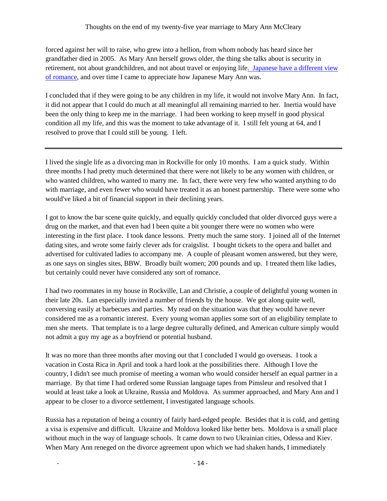forced against her will to raise, who grew into a hellion, from whom nobody has heard since her grandfather died in 2005. As Mary Ann herself grows older, the thing she talks about is security in retirement, not about grandchildren, and not about travel or enjoying lif[e. Japanese have a different view](http://www.grahamseibert.com/lovesick_japan.doc)  [of romance,](http://www.grahamseibert.com/lovesick_japan.doc) and over time I came to appreciate how Japanese Mary Ann was.

I concluded that if they were going to be any children in my life, it would not involve Mary Ann. In fact, it did not appear that I could do much at all meaningful all remaining married to her. Inertia would have been the only thing to keep me in the marriage. I had been working to keep myself in good physical condition all my life, and this was the moment to take advantage of it. I still felt young at 64, and I resolved to prove that I could still be young. I left.

I lived the single life as a divorcing man in Rockville for only 10 months. I am a quick study. Within three months I had pretty much determined that there were not likely to be any women with children, or who wanted children, who wanted to marry me. In fact, there were very few who wanted anything to do with marriage, and even fewer who would have treated it as an honest partnership. There were some who would've liked a bit of financial support in their declining years.

I got to know the bar scene quite quickly, and equally quickly concluded that older divorced guys were a drug on the market, and that even had I been quite a bit younger there were no women who were interesting in the first place. I took dance lessons. Pretty much the same story. I joined all of the Internet dating sites, and wrote some fairly clever ads for craigslist. I bought tickets to the opera and ballet and advertised for cultivated ladies to accompany me. A couple of pleasant women answered, but they were, as one says on singles sites, BBW. Broadly built women; 200 pounds and up. I treated them like ladies, but certainly could never have considered any sort of romance.

I had two roommates in my house in Rockville, Lan and Christie, a couple of delightful young women in their late 20s. Lan especially invited a number of friends by the house. We got along quite well, conversing easily at barbecues and parties. My read on the situation was that they would have never considered me as a romantic interest. Every young woman applies some sort of an eligibility template to men she meets. That template is to a large degree culturally defined, and American culture simply would not admit a guy my age as a boyfriend or potential husband.

It was no more than three months after moving out that I concluded I would go overseas. I took a vacation in Costa Rica in April and took a hard look at the possibilities there. Although I love the country, I didn't see much promise of meeting a woman who would consider herself an equal partner in a marriage. By that time I had ordered some Russian language tapes from Pimsleur and resolved that I would at least take a look at Ukraine, Russia and Moldova. As summer approached, and Mary Ann and I appear to be closer to a divorce settlement, I investigated language schools.

Russia has a reputation of being a country of fairly hard-edged people. Besides that it is cold, and getting a visa is expensive and difficult. Ukraine and Moldova looked like better bets. Moldova is a small place without much in the way of language schools. It came down to two Ukrainian cities, Odessa and Kiev. When Mary Ann reneged on the divorce agreement upon which we had shaken hands, I immediately